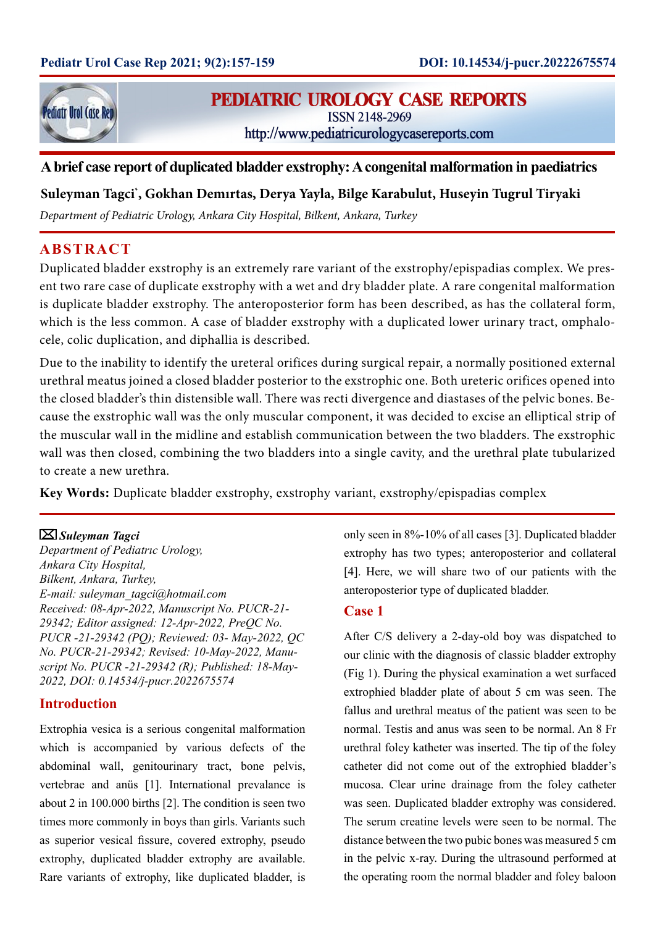

# **PEDIATRIC UROLOGY CASE REPORTS**

**ISSN 2148-2969** 

http://www.pediatricurologycasereports.com

## **A brief case report of duplicated bladder exstrophy: A congenital malformation in paediatrics**

### **Suleyman Tagci\* , Gokhan Demırtas, Derya Yayla, Bilge Karabulut, Huseyin Tugrul Tiryaki**

*Department of Pediatric Urology, Ankara City Hospital, Bilkent, Ankara, Turkey*

## **ABSTRACT**

Duplicated bladder exstrophy is an extremely rare variant of the exstrophy/epispadias complex. We present two rare case of duplicate exstrophy with a wet and dry bladder plate. A rare congenital malformation is duplicate bladder exstrophy. The anteroposterior form has been described, as has the collateral form, which is the less common. A case of bladder exstrophy with a duplicated lower urinary tract, omphalocele, colic duplication, and diphallia is described.

Due to the inability to identify the ureteral orifices during surgical repair, a normally positioned external urethral meatus joined a closed bladder posterior to the exstrophic one. Both ureteric orifices opened into the closed bladder's thin distensible wall. There was recti divergence and diastases of the pelvic bones. Because the exstrophic wall was the only muscular component, it was decided to excise an elliptical strip of the muscular wall in the midline and establish communication between the two bladders. The exstrophic wall was then closed, combining the two bladders into a single cavity, and the urethral plate tubularized to create a new urethra.

**Key Words:** Duplicate bladder exstrophy, exstrophy variant, exstrophy/epispadias complex

#### *Suleyman Tagci*

*Department of Pediatrıc Urology, Ankara City Hospital, Bilkent, Ankara, Turkey, E-mail: suleyman\_tagci@hotmail.com Received: 08-Apr-2022, Manuscript No. PUCR-21- 29342; Editor assigned: 12-Apr-2022, PreQC No. PUCR -21-29342 (PQ); Reviewed: 03- May-2022, QC No. PUCR-21-29342; Revised: 10-May-2022, Manuscript No. PUCR -21-29342 (R); Published: 18-May-2022, DOI: 0.14534/j-pucr.2022675574*

#### **Introduction**

Extrophia vesica is a serious congenital malformation which is accompanied by various defects of the abdominal wall, genitourinary tract, bone pelvis, vertebrae and anüs [1]. International prevalance is about 2 in 100.000 births [2]. The condition is seen two times more commonly in boys than girls. Variants such as superior vesical fissure, covered extrophy, pseudo extrophy, duplicated bladder extrophy are available. Rare variants of extrophy, like duplicated bladder, is only seen in 8%-10% of all cases [3]. Duplicated bladder extrophy has two types; anteroposterior and collateral [4]. Here, we will share two of our patients with the anteroposterior type of duplicated bladder.

### **Case 1**

After C/S delivery a 2-day-old boy was dispatched to our clinic with the diagnosis of classic bladder extrophy (Fig 1). During the physical examination a wet surfaced extrophied bladder plate of about 5 cm was seen. The fallus and urethral meatus of the patient was seen to be normal. Testis and anus was seen to be normal. An 8 Fr urethral foley katheter was inserted. The tip of the foley catheter did not come out of the extrophied bladder's mucosa. Clear urine drainage from the foley catheter was seen. Duplicated bladder extrophy was considered. The serum creatine levels were seen to be normal. The distance between the two pubic bones was measured 5 cm in the pelvic x-ray. During the ultrasound performed at the operating room the normal bladder and foley baloon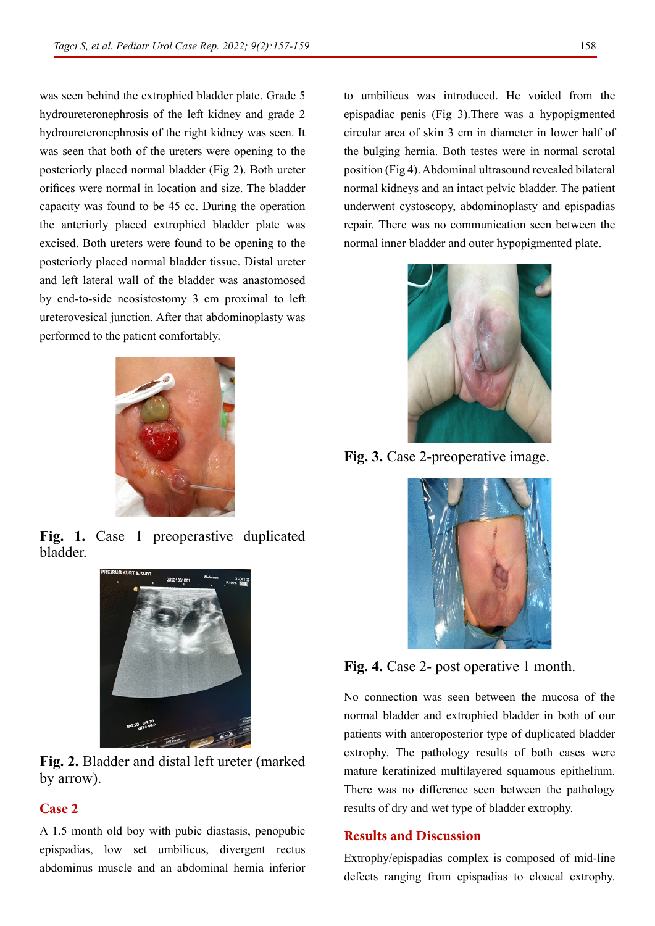was seen behind the extrophied bladder plate. Grade 5 hydroureteronephrosis of the left kidney and grade 2 hydroureteronephrosis of the right kidney was seen. It was seen that both of the ureters were opening to the posteriorly placed normal bladder (Fig 2). Both ureter orifices were normal in location and size. The bladder capacity was found to be 45 cc. During the operation the anteriorly placed extrophied bladder plate was excised. Both ureters were found to be opening to the posteriorly placed normal bladder tissue. Distal ureter and left lateral wall of the bladder was anastomosed by end-to-side neosistostomy 3 cm proximal to left ureterovesical junction. After that abdominoplasty was performed to the patient comfortably.



**Fig. 1.** Case 1 preoperastive duplicated bladder.



**Fig. 2.** Bladder and distal left ureter (marked by arrow).

### **Case 2**

A 1.5 month old boy with pubic diastasis, penopubic epispadias, low set umbilicus, divergent rectus abdominus muscle and an abdominal hernia inferior

to umbilicus was introduced. He voided from the epispadiac penis (Fig 3).There was a hypopigmented circular area of skin 3 cm in diameter in lower half of the bulging hernia. Both testes were in normal scrotal position (Fig 4). Abdominal ultrasound revealed bilateral normal kidneys and an intact pelvic bladder. The patient underwent cystoscopy, abdominoplasty and epispadias repair. There was no communication seen between the normal inner bladder and outer hypopigmented plate.



**Fig. 3.** Case 2-preoperative image.



**Fig. 4.** Case 2- post operative 1 month.

No connection was seen between the mucosa of the normal bladder and extrophied bladder in both of our patients with anteroposterior type of duplicated bladder extrophy. The pathology results of both cases were mature keratinized multilayered squamous epithelium. There was no difference seen between the pathology results of dry and wet type of bladder extrophy.

#### **Results and Discussion**

Extrophy/epispadias complex is composed of mid-line defects ranging from epispadias to cloacal extrophy.